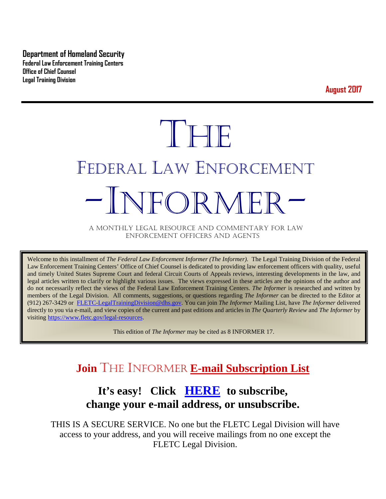**Department of Homeland Security Federal Law Enforcement Training Centers Office of Chief Counsel Legal Training Division** 

**August 2017**

# THE FEDERAL LAW ENFORCEMENT -INFORMER- A MONTHLY LEGAL RESOURCE AND COMMENTARY FOR LAW

ENFORCEMENT OFFICERS AND AGENTS

Welcome to this installment of *The Federal Law Enforcement Informer (The Informer).* The Legal Training Division of the Federal Law Enforcement Training Centers' Office of Chief Counsel is dedicated to providing law enforcement officers with quality, useful and timely United States Supreme Court and federal Circuit Courts of Appeals reviews, interesting developments in the law, and legal articles written to clarify or highlight various issues. The views expressed in these articles are the opinions of the author and do not necessarily reflect the views of the Federal Law Enforcement Training Centers. *The Informer* is researched and written by members of the Legal Division. All comments, suggestions, or questions regarding *The Informer* can be directed to the Editor at (912) 267-3429 or [FLETC-LegalTrainingDivision@dhs.gov.](mailto:FLETC-LegalTrainingDivision@dhs.gov) You can join *The Informer* Mailing List, have *The Informer* delivered directly to you via e-mail, and view copies of the current and past editions and articles in *The Quarterly Review* and *The Informer* by visiting [https://www.fletc.gov/legal-resources.](https://www.fletc.gov/legal-resources) 

This edition of *The Informer* may be cited as 8 INFORMER 17.

# **Join** THE INFORMER **E-mail Subscription List**

# **It's easy! Click [HERE](http://peach.ease.lsoft.com/scripts/wa.exe?SUBED1=fletclgd&A=1) to subscribe, change your e-mail address, or unsubscribe.**

THIS IS A SECURE SERVICE. No one but the FLETC Legal Division will have access to your address, and you will receive mailings from no one except the FLETC Legal Division.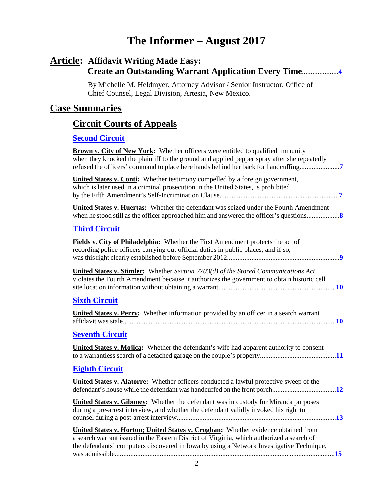# **The Informer – August 2017**

## **Article: Affidavit Writing Made Easy: Create an Outstanding Warrant Application Every Time**.....................**[4](#page-3-0)**

 By Michelle M. Heldmyer, Attorney Advisor / Senior Instructor, Office of Chief Counsel, Legal Division, Artesia, New Mexico.

#### **Case Summaries**

# **[Circuit Courts of Appeals](#page-6-0)**

#### **[Second Circuit](#page-6-1)**

| <b>Brown v. City of New York:</b> Whether officers were entitled to qualified immunity<br>when they knocked the plaintiff to the ground and applied pepper spray after she repeatedly<br>refused the officers' command to place here hands behind her back for handcuffing |  |
|----------------------------------------------------------------------------------------------------------------------------------------------------------------------------------------------------------------------------------------------------------------------------|--|
| <b>United States v. Conti:</b> Whether testimony compelled by a foreign government,<br>which is later used in a criminal prosecution in the United States, is prohibited                                                                                                   |  |
| <b>United States v. Huertas:</b> Whether the defendant was seized under the Fourth Amendment                                                                                                                                                                               |  |
| <b>Third Circuit</b>                                                                                                                                                                                                                                                       |  |
| Fields v. City of Philadelphia: Whether the First Amendment protects the act of<br>recording police officers carrying out official duties in public places, and if so,                                                                                                     |  |
| <b>United States v. Stimler:</b> Whether Section 2703(d) of the Stored Communications Act<br>violates the Fourth Amendment because it authorizes the government to obtain historic cell                                                                                    |  |
| <b>Sixth Circuit</b>                                                                                                                                                                                                                                                       |  |
| United States v. Perry: Whether information provided by an officer in a search warrant                                                                                                                                                                                     |  |
| <b>Seventh Circuit</b>                                                                                                                                                                                                                                                     |  |
| <b>United States v. Mojica:</b> Whether the defendant's wife had apparent authority to consent                                                                                                                                                                             |  |
| <b>Eighth Circuit</b>                                                                                                                                                                                                                                                      |  |
| United States v. Alatorre: Whether officers conducted a lawful protective sweep of the                                                                                                                                                                                     |  |
| United States v. Giboney: Whether the defendant was in custody for Miranda purposes<br>during a pre-arrest interview, and whether the defendant validly invoked his right to                                                                                               |  |
| United States v. Horton; United States v. Croghan: Whether evidence obtained from<br>a search warrant issued in the Eastern District of Virginia, which authorized a search of<br>the defendants' computers discovered in Iowa by using a Network Investigative Technique, |  |
|                                                                                                                                                                                                                                                                            |  |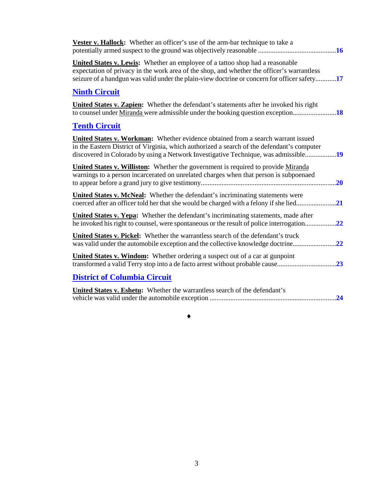| <b>Vester v. Hallock:</b> Whether an officer's use of the arm-bar technique to take a                                                                                                                                                                                 |
|-----------------------------------------------------------------------------------------------------------------------------------------------------------------------------------------------------------------------------------------------------------------------|
| <b>United States v. Lewis:</b> Whether an employee of a tattoo shop had a reasonable<br>expectation of privacy in the work area of the shop, and whether the officer's warrantless                                                                                    |
| <b>Ninth Circuit</b>                                                                                                                                                                                                                                                  |
| <b>United States v. Zapien:</b> Whether the defendant's statements after he invoked his right<br>to counsel under <u>Miranda</u> were admissible under the booking question exception                                                                                 |
| <b>Tenth Circuit</b>                                                                                                                                                                                                                                                  |
| United States v. Workman: Whether evidence obtained from a search warrant issued<br>in the Eastern District of Virginia, which authorized a search of the defendant's computer<br>discovered in Colorado by using a Network Investigative Technique, was admissible19 |
| United States v. Williston: Whether the government is required to provide Miranda<br>warnings to a person incarcerated on unrelated charges when that person is subpoenaed                                                                                            |
| <b>United States v. McNeal:</b> Whether the defendant's incriminating statements were                                                                                                                                                                                 |
| United States v. Yepa: Whether the defendant's incriminating statements, made after<br>he invoked his right to counsel, were spontaneous or the result of police interrogation                                                                                        |
| United States v. Pickel: Whether the warrantless search of the defendant's truck                                                                                                                                                                                      |
| United States v. Windom: Whether ordering a suspect out of a car at gunpoint                                                                                                                                                                                          |
| <b>District of Columbia Circuit</b>                                                                                                                                                                                                                                   |
| United States v. Eshetu: Whether the warrantless search of the defendant's<br>.24                                                                                                                                                                                     |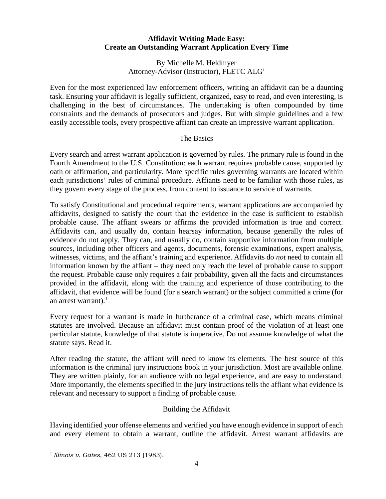#### **Affidavit Writing Made Easy: Create an Outstanding Warrant Application Every Time**

By Michelle M. Heldmyer Attorney-Adv[i](#page-5-0)sor (Instructor), FLETC ALG<sup>i</sup>

<span id="page-3-0"></span>Even for the most experienced law enforcement officers, writing an affidavit can be a daunting task. Ensuring your affidavit is legally sufficient, organized, easy to read, and even interesting, is challenging in the best of circumstances. The undertaking is often compounded by time constraints and the demands of prosecutors and judges. But with simple guidelines and a few easily accessible tools, every prospective affiant can create an impressive warrant application.

#### The Basics

Every search and arrest warrant application is governed by rules. The primary rule is found in the Fourth Amendment to the U.S. Constitution: each warrant requires probable cause, supported by oath or affirmation, and particularity. More specific rules governing warrants are located within each jurisdictions' rules of criminal procedure. Affiants need to be familiar with those rules, as they govern every stage of the process, from content to issuance to service of warrants.

To satisfy Constitutional and procedural requirements, warrant applications are accompanied by affidavits, designed to satisfy the court that the evidence in the case is sufficient to establish probable cause. The affiant swears or affirms the provided information is true and correct. Affidavits can, and usually do, contain hearsay information, because generally the rules of evidence do not apply. They can, and usually do, contain supportive information from multiple sources, including other officers and agents, documents, forensic examinations, expert analysis, witnesses, victims, and the affiant's training and experience. Affidavits do *not* need to contain all information known by the affiant – they need only reach the level of probable cause to support the request. Probable cause only requires a fair probability, given all the facts and circumstances provided in the affidavit, along with the training and experience of those contributing to the affidavit, that evidence will be found (for a search warrant) or the subject committed a crime (for an arrest warrant). $<sup>1</sup>$  $<sup>1</sup>$  $<sup>1</sup>$ </sup>

Every request for a warrant is made in furtherance of a criminal case, which means criminal statutes are involved. Because an affidavit must contain proof of the violation of at least one particular statute, knowledge of that statute is imperative. Do not assume knowledge of what the statute says. Read it.

After reading the statute, the affiant will need to know its elements. The best source of this information is the criminal jury instructions book in your jurisdiction. Most are available online. They are written plainly, for an audience with no legal experience, and are easy to understand. More importantly, the elements specified in the jury instructions tells the affiant what evidence is relevant and necessary to support a finding of probable cause.

#### Building the Affidavit

Having identified your offense elements and verified you have enough evidence in support of each and every element to obtain a warrant, outline the affidavit. Arrest warrant affidavits are

<span id="page-3-1"></span> <sup>1</sup> *Illinois v. Gates*, 462 US 213 (1983).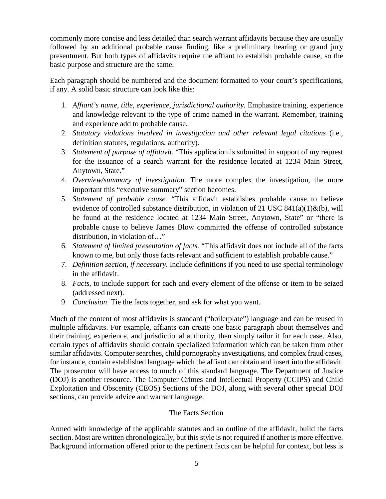commonly more concise and less detailed than search warrant affidavits because they are usually followed by an additional probable cause finding, like a preliminary hearing or grand jury presentment. But both types of affidavits require the affiant to establish probable cause, so the basic purpose and structure are the same.

Each paragraph should be numbered and the document formatted to your court's specifications, if any. A solid basic structure can look like this:

- 1. *Affiant's name, title, experience, jurisdictional authority.* Emphasize training, experience and knowledge relevant to the type of crime named in the warrant. Remember, training and experience add to probable cause.
- 2. *Statutory violations involved in investigation and other relevant legal citations* (i.e., definition statutes, regulations, authority).
- 3. *Statement of purpose of affidavit.* "This application is submitted in support of my request for the issuance of a search warrant for the residence located at 1234 Main Street, Anytown, State."
- 4. *Overview/summary of investigation.* The more complex the investigation, the more important this "executive summary" section becomes.
- 5. *Statement of probable cause.* "This affidavit establishes probable cause to believe evidence of controlled substance distribution, in violation of 21 USC  $841(a)(1) \& (b)$ , will be found at the residence located at 1234 Main Street, Anytown, State" or "there is probable cause to believe James Blow committed the offense of controlled substance distribution, in violation of…"
- 6. *Statement of limited presentation of facts.* "This affidavit does not include all of the facts known to me, but only those facts relevant and sufficient to establish probable cause."
- 7. *Definition section*, *if necessary*. Include definitions if you need to use special terminology in the affidavit.
- 8. *Facts*, to include support for each and every element of the offense or item to be seized (addressed next).
- 9. *Conclusion*. Tie the facts together, and ask for what you want.

Much of the content of most affidavits is standard ("boilerplate") language and can be reused in multiple affidavits. For example, affiants can create one basic paragraph about themselves and their training, experience, and jurisdictional authority, then simply tailor it for each case. Also, certain types of affidavits should contain specialized information which can be taken from other similar affidavits. Computer searches, child pornography investigations, and complex fraud cases, for instance, contain established language which the affiant can obtain and insert into the affidavit. The prosecutor will have access to much of this standard language. The Department of Justice (DOJ) is another resource. The Computer Crimes and Intellectual Property (CCIPS) and Child Exploitation and Obscenity (CEOS) Sections of the DOJ, along with several other special DOJ sections, can provide advice and warrant language.

#### The Facts Section

Armed with knowledge of the applicable statutes and an outline of the affidavit, build the facts section. Most are written chronologically, but this style is not required if another is more effective. Background information offered prior to the pertinent facts can be helpful for context, but less is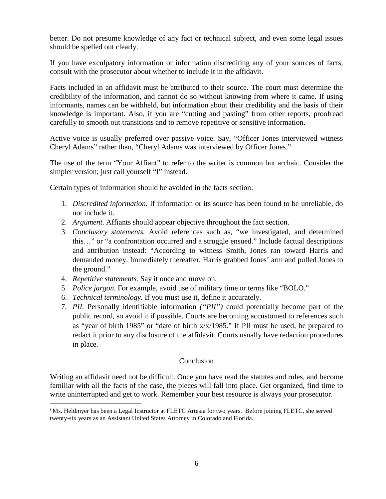better. Do not presume knowledge of any fact or technical subject, and even some legal issues should be spelled out clearly.

If you have exculpatory information or information discrediting any of your sources of facts, consult with the prosecutor about whether to include it in the affidavit.

Facts included in an affidavit must be attributed to their source. The court must determine the credibility of the information, and cannot do so without knowing from where it came. If using informants, names can be withheld, but information about their credibility and the basis of their knowledge is important. Also, if you are "cutting and pasting" from other reports, proofread carefully to smooth out transitions and to remove repetitive or sensitive information.

Active voice is usually preferred over passive voice. Say, "Officer Jones interviewed witness Cheryl Adams" rather than, "Cheryl Adams was interviewed by Officer Jones."

The use of the term "Your Affiant" to refer to the writer is common but archaic. Consider the simpler version; just call yourself "I" instead.

Certain types of information should be avoided in the facts section:

- 1. *Discredited information.* If information or its source has been found to be unreliable, do not include it.
- 2. *Argument*. Affiants should appear objective throughout the fact section.
- 3. *Conclusory statements.* Avoid references such as, "we investigated, and determined this…" or "a confrontation occurred and a struggle ensued." Include factual descriptions and attribution instead: "According to witness Smith, Jones ran toward Harris and demanded money. Immediately thereafter, Harris grabbed Jones' arm and pulled Jones to the ground."
- 4. *Repetitive statements.* Say it once and move on.
- 5. *Police jargon.* For example, avoid use of military time or terms like "BOLO."
- 6. *Technical terminology.* If you must use it, define it accurately.
- 7. *PII.* Personally identifiable information *("PII")* could potentially become part of the public record, so avoid it if possible. Courts are becoming accustomed to references such as "year of birth 1985" or "date of birth x/x/1985." If PII must be used, be prepared to redact it prior to any disclosure of the affidavit. Courts usually have redaction procedures in place.

#### Conclusion

Writing an affidavit need not be difficult. Once you have read the statutes and rules, and become familiar with all the facts of the case, the pieces will fall into place. Get organized, find time to write uninterrupted and get to work. Remember your best resource is always your prosecutor.

<span id="page-5-0"></span><sup>&</sup>lt;sup>i</sup> Ms. Heldmyer has been a Legal Instructor at FLETC Artesia for two years. Before joining FLETC, she served twenty-six years as an Assistant United States Attorney in Colorado and Florida.  $\overline{a}$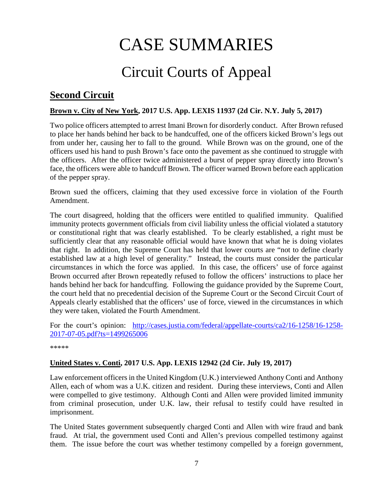# CASE SUMMARIES

# Circuit Courts of Appeal

## <span id="page-6-1"></span><span id="page-6-0"></span>**Second Circuit**

#### <span id="page-6-2"></span>**Brown v. City of New York, 2017 U.S. App. LEXIS 11937 (2d Cir. N.Y. July 5, 2017)**

Two police officers attempted to arrest Imani Brown for disorderly conduct. After Brown refused to place her hands behind her back to be handcuffed, one of the officers kicked Brown's legs out from under her, causing her to fall to the ground. While Brown was on the ground, one of the officers used his hand to push Brown's face onto the pavement as she continued to struggle with the officers. After the officer twice administered a burst of pepper spray directly into Brown's face, the officers were able to handcuff Brown. The officer warned Brown before each application of the pepper spray.

Brown sued the officers, claiming that they used excessive force in violation of the Fourth Amendment.

The court disagreed, holding that the officers were entitled to qualified immunity. Qualified immunity protects government officials from civil liability unless the official violated a statutory or constitutional right that was clearly established. To be clearly established, a right must be sufficiently clear that any reasonable official would have known that what he is doing violates that right. In addition, the Supreme Court has held that lower courts are "not to define clearly established law at a high level of generality." Instead, the courts must consider the particular circumstances in which the force was applied. In this case, the officers' use of force against Brown occurred after Brown repeatedly refused to follow the officers' instructions to place her hands behind her back for handcuffing. Following the guidance provided by the Supreme Court, the court held that no precedential decision of the Supreme Court or the Second Circuit Court of Appeals clearly established that the officers' use of force, viewed in the circumstances in which they were taken, violated the Fourth Amendment.

For the court's opinion: [http://cases.justia.com/federal/appellate-courts/ca2/16-1258/16-1258-](http://cases.justia.com/federal/appellate-courts/ca2/16-1258/16-1258-2017-07-05.pdf?ts=1499265006) [2017-07-05.pdf?ts=1499265006](http://cases.justia.com/federal/appellate-courts/ca2/16-1258/16-1258-2017-07-05.pdf?ts=1499265006)

\*\*\*\*\*

#### <span id="page-6-3"></span>**United States v. Conti, 2017 U.S. App. LEXIS 12942 (2d Cir. July 19, 2017)**

Law enforcement officers in the United Kingdom (U.K.) interviewed Anthony Conti and Anthony Allen, each of whom was a U.K. citizen and resident. During these interviews, Conti and Allen were compelled to give testimony. Although Conti and Allen were provided limited immunity from criminal prosecution, under U.K. law, their refusal to testify could have resulted in imprisonment.

The United States government subsequently charged Conti and Allen with wire fraud and bank fraud. At trial, the government used Conti and Allen's previous compelled testimony against them. The issue before the court was whether testimony compelled by a foreign government,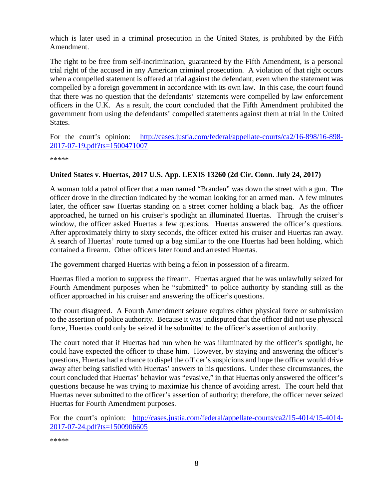which is later used in a criminal prosecution in the United States, is prohibited by the Fifth Amendment.

The right to be free from self-incrimination, guaranteed by the Fifth Amendment, is a personal trial right of the accused in any American criminal prosecution. A violation of that right occurs when a compelled statement is offered at trial against the defendant, even when the statement was compelled by a foreign government in accordance with its own law. In this case, the court found that there was no question that the defendants' statements were compelled by law enforcement officers in the U.K. As a result, the court concluded that the Fifth Amendment prohibited the government from using the defendants' compelled statements against them at trial in the United States.

For the court's opinion: [http://cases.justia.com/federal/appellate-courts/ca2/16-898/16-898-](http://cases.justia.com/federal/appellate-courts/ca2/16-898/16-898-2017-07-19.pdf?ts=1500471007) [2017-07-19.pdf?ts=1500471007](http://cases.justia.com/federal/appellate-courts/ca2/16-898/16-898-2017-07-19.pdf?ts=1500471007)

\*\*\*\*\*

#### <span id="page-7-0"></span>**United States v. Huertas, 2017 U.S. App. LEXIS 13260 (2d Cir. Conn. July 24, 2017)**

A woman told a patrol officer that a man named "Branden" was down the street with a gun. The officer drove in the direction indicated by the woman looking for an armed man. A few minutes later, the officer saw Huertas standing on a street corner holding a black bag. As the officer approached, he turned on his cruiser's spotlight an illuminated Huertas. Through the cruiser's window, the officer asked Huertas a few questions. Huertas answered the officer's questions. After approximately thirty to sixty seconds, the officer exited his cruiser and Huertas ran away. A search of Huertas' route turned up a bag similar to the one Huertas had been holding, which contained a firearm. Other officers later found and arrested Huertas.

The government charged Huertas with being a felon in possession of a firearm.

Huertas filed a motion to suppress the firearm. Huertas argued that he was unlawfully seized for Fourth Amendment purposes when he "submitted" to police authority by standing still as the officer approached in his cruiser and answering the officer's questions.

The court disagreed. A Fourth Amendment seizure requires either physical force or submission to the assertion of police authority. Because it was undisputed that the officer did not use physical force, Huertas could only be seized if he submitted to the officer's assertion of authority.

The court noted that if Huertas had run when he was illuminated by the officer's spotlight, he could have expected the officer to chase him. However, by staying and answering the officer's questions, Huertas had a chance to dispel the officer's suspicions and hope the officer would drive away after being satisfied with Huertas' answers to his questions. Under these circumstances, the court concluded that Huertas' behavior was "evasive," in that Huertas only answered the officer's questions because he was trying to maximize his chance of avoiding arrest. The court held that Huertas never submitted to the officer's assertion of authority; therefore, the officer never seized Huertas for Fourth Amendment purposes.

For the court's opinion: [http://cases.justia.com/federal/appellate-courts/ca2/15-4014/15-4014-](http://cases.justia.com/federal/appellate-courts/ca2/15-4014/15-4014-2017-07-24.pdf?ts=1500906605) [2017-07-24.pdf?ts=1500906605](http://cases.justia.com/federal/appellate-courts/ca2/15-4014/15-4014-2017-07-24.pdf?ts=1500906605)

\*\*\*\*\*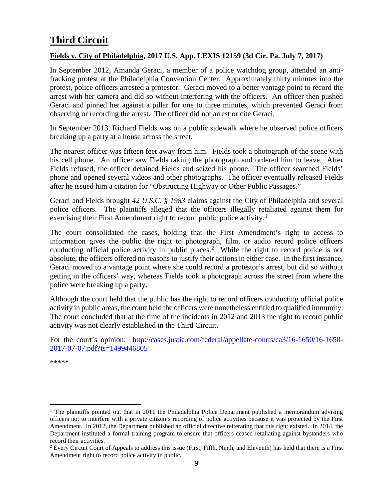# <span id="page-8-0"></span>**Third Circuit**

#### <span id="page-8-1"></span>**Fields v. City of Philadelphia, 2017 U.S. App. LEXIS 12159 (3d Cir. Pa. July 7, 2017)**

In September 2012, Amanda Geraci, a member of a police watchdog group, attended an antifracking protest at the Philadelphia Convention Center. Approximately thirty minutes into the protest, police officers arrested a protestor. Geraci moved to a better vantage point to record the arrest with her camera and did so without interfering with the officers. An officer then pushed Geraci and pinned her against a pillar for one to three minutes, which prevented Geraci from observing or recording the arrest. The officer did not arrest or cite Geraci.

In September 2013, Richard Fields was on a public sidewalk where he observed police officers breaking up a party at a house across the street.

The nearest officer was fifteen feet away from him. Fields took a photograph of the scene with his cell phone. An officer saw Fields taking the photograph and ordered him to leave. After Fields refused, the officer detained Fields and seized his phone. The officer searched Fields' phone and opened several videos and other photographs. The officer eventually released Fields after he issued him a citation for "Obstructing Highway or Other Public Passages."

Geraci and Fields brought *42 U.S.C. § 1983* claims against the City of Philadelphia and several police officers. The plaintiffs alleged that the officers illegally retaliated against them for exercising their First Amendment right to record public police activity.<sup>[1](#page-8-3)</sup>

The court consolidated the cases, holding that the First Amendment's right to access to information gives the public the right to photograph, film, or audio record police officers conducting official police activity in public places.<sup>[2](#page-8-4)</sup> While the right to record police is not absolute, the officers offered no reasons to justify their actions in either case. In the first instance, Geraci moved to a vantage point where she could record a protestor's arrest, but did so without getting in the officers' way, whereas Fields took a photograph across the street from where the police were breaking up a party.

Although the court held that the public has the right to record officers conducting official police activity in public areas, the court held the officers were nonetheless entitled to qualified immunity. The court concluded that at the time of the incidents in 2012 and 2013 the right to record public activity was not clearly established in the Third Circuit.

For the court's opinion: [http://cases.justia.com/federal/appellate-courts/ca3/16-1650/16-1650-](http://cases.justia.com/federal/appellate-courts/ca3/16-1650/16-1650-2017-07-07.pdf?ts=1499446805) [2017-07-07.pdf?ts=1499446805](http://cases.justia.com/federal/appellate-courts/ca3/16-1650/16-1650-2017-07-07.pdf?ts=1499446805)

<span id="page-8-2"></span>\*\*\*\*\*

<span id="page-8-3"></span><sup>&</sup>lt;sup>1</sup> The plaintiffs pointed out that in 2011 the Philadelphia Police Department published a memorandum advising officers not to interfere with a private citizen's recording of police activities because it was protected by the First Amendment. In 2012, the Department published an official directive reiterating that this right existed. In 2014, the Department instituted a formal training program to ensure that officers ceased retaliating against bystanders who record their activities.

<span id="page-8-4"></span><sup>&</sup>lt;sup>2</sup> Every Circuit Court of Appeals to address this issue (First, Fifth, Ninth, and Eleventh) has held that there is a First Amendment right to record police activity in public.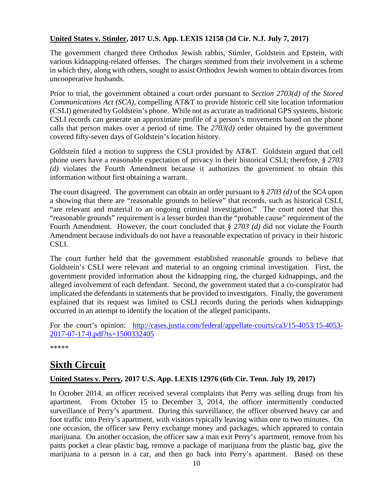#### **United States v. Stimler, 2017 U.S. App. LEXIS 12158 (3d Cir. N.J. July 7, 2017)**

The government charged three Orthodox Jewish rabbis, Stimler, Goldstein and Epstein, with various kidnapping-related offenses. The charges stemmed from their involvement in a scheme in which they, along with others, sought to assist Orthodox Jewish women to obtain divorces from uncooperative husbands.

Prior to trial, the government obtained a court order pursuant to *Section 2703(d) of the Stored Communications Act (SCA)*, compelling AT&T to provide historic cell site location information (CSLI) generated by Goldstein's phone. While not as accurate as traditional GPS systems, historic CSLI records can generate an approximate profile of a person's movements based on the phone calls that person makes over a period of time. The *2703(d)* order obtained by the government covered fifty-seven days of Goldstein's location history.

Goldstein filed a motion to suppress the CSLI provided by AT&T. Goldstein argued that cell phone users have a reasonable expectation of privacy in their historical CSLI; therefore, *§ 2703 (d)* violates the Fourth Amendment because it authorizes the government to obtain this information without first obtaining a warrant.

The court disagreed. The government can obtain an order pursuant to § *2703 (d)* of the *SCA* upon a showing that there are "reasonable grounds to believe" that records, such as historical CSLI, "are relevant and material to an ongoing criminal investigation." The court noted that this "reasonable grounds" requirement is a lesser burden than the "probable cause" requirement of the Fourth Amendment. However, the court concluded that *§ 2703 (d)* did not violate the Fourth Amendment because individuals do not have a reasonable expectation of privacy in their historic CSLI.

The court further held that the government established reasonable grounds to believe that Goldstein's CSLI were relevant and material to an ongoing criminal investigation. First, the government provided information about the kidnapping ring, the charged kidnappings, and the alleged involvement of each defendant. Second, the government stated that a co-conspirator had implicated the defendants in statements that he provided to investigators. Finally, the government explained that its request was limited to CSLI records during the periods when kidnappings occurred in an attempt to identify the location of the alleged participants.

For the court's opinion: [http://cases.justia.com/federal/appellate-courts/ca3/15-4053/15-4053-](http://cases.justia.com/federal/appellate-courts/ca3/15-4053/15-4053-2017-07-17-0.pdf?ts=1500332405) [2017-07-17-0.pdf?ts=1500332405](http://cases.justia.com/federal/appellate-courts/ca3/15-4053/15-4053-2017-07-17-0.pdf?ts=1500332405)

\*\*\*\*\*

## <span id="page-9-0"></span>**Sixth Circuit**

#### <span id="page-9-1"></span>**United States v. Perry, 2017 U.S. App. LEXIS 12976 (6th Cir. Tenn. July 19, 2017)**

In October 2014, an officer received several complaints that Perry was selling drugs from his apartment. From October 15 to December 3, 2014, the officer intermittently conducted surveillance of Perry's apartment. During this surveillance, the officer observed heavy car and foot traffic into Perry's apartment, with visitors typically leaving within one to two minutes. On one occasion, the officer saw Perry exchange money and packages, which appeared to contain marijuana. On another occasion, the officer saw a man exit Perry's apartment, remove from his pants pocket a clear plastic bag, remove a package of marijuana from the plastic bag, give the marijuana to a person in a car, and then go back into Perry's apartment. Based on these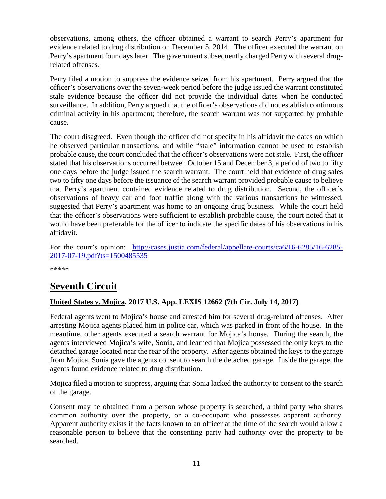observations, among others, the officer obtained a warrant to search Perry's apartment for evidence related to drug distribution on December 5, 2014. The officer executed the warrant on Perry's apartment four days later. The government subsequently charged Perry with several drugrelated offenses.

Perry filed a motion to suppress the evidence seized from his apartment. Perry argued that the officer's observations over the seven-week period before the judge issued the warrant constituted stale evidence because the officer did not provide the individual dates when he conducted surveillance. In addition, Perry argued that the officer's observations did not establish continuous criminal activity in his apartment; therefore, the search warrant was not supported by probable cause.

The court disagreed. Even though the officer did not specify in his affidavit the dates on which he observed particular transactions, and while "stale" information cannot be used to establish probable cause, the court concluded that the officer's observations were not stale. First, the officer stated that his observations occurred between October 15 and December 3, a period of two to fifty one days before the judge issued the search warrant. The court held that evidence of drug sales two to fifty one days before the issuance of the search warrant provided probable cause to believe that Perry's apartment contained evidence related to drug distribution. Second, the officer's observations of heavy car and foot traffic along with the various transactions he witnessed, suggested that Perry's apartment was home to an ongoing drug business. While the court held that the officer's observations were sufficient to establish probable cause, the court noted that it would have been preferable for the officer to indicate the specific dates of his observations in his affidavit.

For the court's opinion: [http://cases.justia.com/federal/appellate-courts/ca6/16-6285/16-6285-](http://cases.justia.com/federal/appellate-courts/ca6/16-6285/16-6285-2017-07-19.pdf?ts=1500485535) [2017-07-19.pdf?ts=1500485535](http://cases.justia.com/federal/appellate-courts/ca6/16-6285/16-6285-2017-07-19.pdf?ts=1500485535)

\*\*\*\*\*

# <span id="page-10-0"></span>**Seventh Circuit**

#### <span id="page-10-1"></span>**United States v. Mojica, 2017 U.S. App. LEXIS 12662 (7th Cir. July 14, 2017)**

Federal agents went to Mojica's house and arrested him for several drug-related offenses. After arresting Mojica agents placed him in police car, which was parked in front of the house. In the meantime, other agents executed a search warrant for Mojica's house. During the search, the agents interviewed Mojica's wife, Sonia, and learned that Mojica possessed the only keys to the detached garage located near the rear of the property. After agents obtained the keys to the garage from Mojica, Sonia gave the agents consent to search the detached garage. Inside the garage, the agents found evidence related to drug distribution.

Mojica filed a motion to suppress, arguing that Sonia lacked the authority to consent to the search of the garage.

Consent may be obtained from a person whose property is searched, a third party who shares common authority over the property, or a co-occupant who possesses apparent authority. Apparent authority exists if the facts known to an officer at the time of the search would allow a reasonable person to believe that the consenting party had authority over the property to be searched.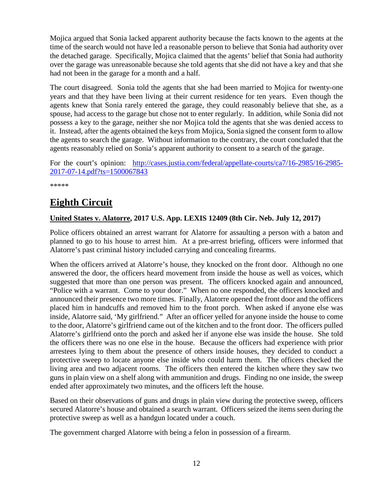Mojica argued that Sonia lacked apparent authority because the facts known to the agents at the time of the search would not have led a reasonable person to believe that Sonia had authority over the detached garage. Specifically, Mojica claimed that the agents' belief that Sonia had authority over the garage was unreasonable because she told agents that she did not have a key and that she had not been in the garage for a month and a half.

The court disagreed. Sonia told the agents that she had been married to Mojica for twenty-one years and that they have been living at their current residence for ten years. Even though the agents knew that Sonia rarely entered the garage, they could reasonably believe that she, as a spouse, had access to the garage but chose not to enter regularly. In addition, while Sonia did not possess a key to the garage, neither she nor Mojica told the agents that she was denied access to it. Instead, after the agents obtained the keys from Mojica, Sonia signed the consent form to allow the agents to search the garage. Without information to the contrary, the court concluded that the agents reasonably relied on Sonia's apparent authority to consent to a search of the garage.

For the court's opinion: [http://cases.justia.com/federal/appellate-courts/ca7/16-2985/16-2985-](http://cases.justia.com/federal/appellate-courts/ca7/16-2985/16-2985-2017-07-14.pdf?ts=1500067843) [2017-07-14.pdf?ts=1500067843](http://cases.justia.com/federal/appellate-courts/ca7/16-2985/16-2985-2017-07-14.pdf?ts=1500067843)

\*\*\*\*\*

# <span id="page-11-0"></span>**Eighth Circuit**

#### <span id="page-11-1"></span>**United States v. Alatorre, 2017 U.S. App. LEXIS 12409 (8th Cir. Neb. July 12, 2017)**

Police officers obtained an arrest warrant for Alatorre for assaulting a person with a baton and planned to go to his house to arrest him. At a pre-arrest briefing, officers were informed that Alatorre's past criminal history included carrying and concealing firearms.

When the officers arrived at Alatorre's house, they knocked on the front door. Although no one answered the door, the officers heard movement from inside the house as well as voices, which suggested that more than one person was present. The officers knocked again and announced, "Police with a warrant. Come to your door." When no one responded, the officers knocked and announced their presence two more times. Finally, Alatorre opened the front door and the officers placed him in handcuffs and removed him to the front porch. When asked if anyone else was inside, Alatorre said, 'My girlfriend." After an officer yelled for anyone inside the house to come to the door, Alatorre's girlfriend came out of the kitchen and to the front door. The officers pulled Alatorre's girlfriend onto the porch and asked her if anyone else was inside the house. She told the officers there was no one else in the house. Because the officers had experience with prior arrestees lying to them about the presence of others inside houses, they decided to conduct a protective sweep to locate anyone else inside who could harm them. The officers checked the living area and two adjacent rooms. The officers then entered the kitchen where they saw two guns in plain view on a shelf along with ammunition and drugs. Finding no one inside, the sweep ended after approximately two minutes, and the officers left the house.

Based on their observations of guns and drugs in plain view during the protective sweep, officers secured Alatorre's house and obtained a search warrant. Officers seized the items seen during the protective sweep as well as a handgun located under a couch.

The government charged Alatorre with being a felon in possession of a firearm.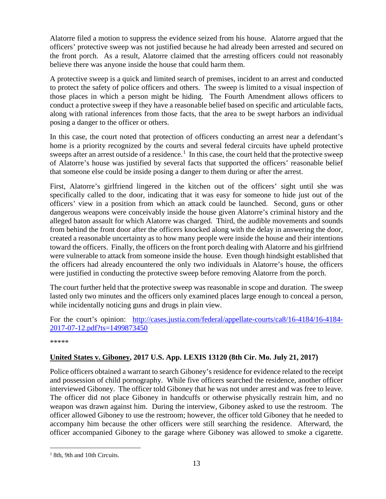Alatorre filed a motion to suppress the evidence seized from his house. Alatorre argued that the officers' protective sweep was not justified because he had already been arrested and secured on the front porch. As a result, Alatorre claimed that the arresting officers could not reasonably believe there was anyone inside the house that could harm them.

A protective sweep is a quick and limited search of premises, incident to an arrest and conducted to protect the safety of police officers and others. The sweep is limited to a visual inspection of those places in which a person might be hiding. The Fourth Amendment allows officers to conduct a protective sweep if they have a reasonable belief based on specific and articulable facts, along with rational inferences from those facts, that the area to be swept harbors an individual posing a danger to the officer or others.

In this case, the court noted that protection of officers conducting an arrest near a defendant's home is a priority recognized by the courts and several federal circuits have upheld protective sweeps after an arrest outside of a residence.<sup>[1](#page-12-1)</sup> In this case, the court held that the protective sweep of Alatorre's house was justified by several facts that supported the officers' reasonable belief that someone else could be inside posing a danger to them during or after the arrest.

First, Alatorre's girlfriend lingered in the kitchen out of the officers' sight until she was specifically called to the door, indicating that it was easy for someone to hide just out of the officers' view in a position from which an attack could be launched. Second, guns or other dangerous weapons were conceivably inside the house given Alatorre's criminal history and the alleged baton assault for which Alatorre was charged. Third, the audible movements and sounds from behind the front door after the officers knocked along with the delay in answering the door, created a reasonable uncertainty as to how many people were inside the house and their intentions toward the officers. Finally, the officers on the front porch dealing with Alatorre and his girlfriend were vulnerable to attack from someone inside the house. Even though hindsight established that the officers had already encountered the only two individuals in Alatorre's house, the officers were justified in conducting the protective sweep before removing Alatorre from the porch.

The court further held that the protective sweep was reasonable in scope and duration. The sweep lasted only two minutes and the officers only examined places large enough to conceal a person, while incidentally noticing guns and drugs in plain view.

For the court's opinion: [http://cases.justia.com/federal/appellate-courts/ca8/16-4184/16-4184-](http://cases.justia.com/federal/appellate-courts/ca8/16-4184/16-4184-2017-07-12.pdf?ts=1499873450) [2017-07-12.pdf?ts=1499873450](http://cases.justia.com/federal/appellate-courts/ca8/16-4184/16-4184-2017-07-12.pdf?ts=1499873450)

\*\*\*\*\*

#### <span id="page-12-0"></span>**United States v. Giboney, 2017 U.S. App. LEXIS 13120 (8th Cir. Mo. July 21, 2017)**

Police officers obtained a warrant to search Giboney's residence for evidence related to the receipt and possession of child pornography. While five officers searched the residence, another officer interviewed Giboney. The officer told Giboney that he was not under arrest and was free to leave. The officer did not place Giboney in handcuffs or otherwise physically restrain him, and no weapon was drawn against him. During the interview, Giboney asked to use the restroom. The officer allowed Giboney to use the restroom; however, the officer told Giboney that he needed to accompany him because the other officers were still searching the residence. Afterward, the officer accompanied Giboney to the garage where Giboney was allowed to smoke a cigarette.

<span id="page-12-1"></span> $1$  8th, 9th and 10th Circuits.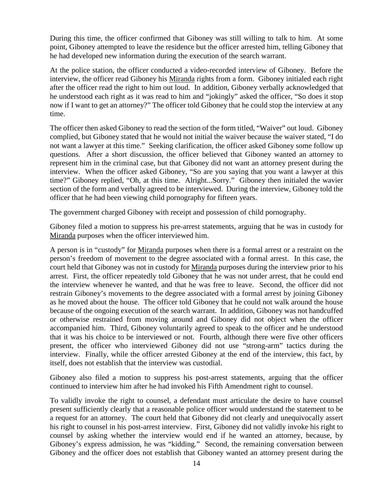During this time, the officer confirmed that Giboney was still willing to talk to him. At some point, Giboney attempted to leave the residence but the officer arrested him, telling Giboney that he had developed new information during the execution of the search warrant.

At the police station, the officer conducted a video-recorded interview of Giboney. Before the interview, the officer read Giboney his Miranda rights from a form. Giboney initialed each right after the officer read the right to him out loud. In addition, Giboney verbally acknowledged that he understood each right as it was read to him and "jokingly" asked the officer, "So does it stop now if I want to get an attorney?" The officer told Giboney that he could stop the interview at any time.

The officer then asked Giboney to read the section of the form titled, "Waiver" out loud. Giboney complied, but Giboney stated that he would not initial the waiver because the waiver stated, "I do not want a lawyer at this time." Seeking clarification, the officer asked Giboney some follow up questions. After a short discussion, the officer believed that Giboney wanted an attorney to represent him in the criminal case, but that Giboney did not want an attorney present during the interview. When the officer asked Giboney, "So are you saying that you want a lawyer at this time?" Giboney replied, "Oh, at this time. Alright...Sorry." Giboney then initialed the wavier section of the form and verbally agreed to be interviewed. During the interview, Giboney told the officer that he had been viewing child pornography for fifteen years.

The government charged Giboney with receipt and possession of child pornography.

Giboney filed a motion to suppress his pre-arrest statements, arguing that he was in custody for Miranda purposes when the officer interviewed him.

A person is in "custody" for Miranda purposes when there is a formal arrest or a restraint on the person's freedom of movement to the degree associated with a formal arrest. In this case, the court held that Giboney was not in custody for Miranda purposes during the interview prior to his arrest. First, the officer repeatedly told Giboney that he was not under arrest, that he could end the interview whenever he wanted, and that he was free to leave. Second, the officer did not restrain Giboney's movements to the degree associated with a formal arrest by joining Giboney as he moved about the house. The officer told Giboney that he could not walk around the house because of the ongoing execution of the search warrant. In addition, Giboney was not handcuffed or otherwise restrained from moving around and Giboney did not object when the officer accompanied him. Third, Giboney voluntarily agreed to speak to the officer and he understood that it was his choice to be interviewed or not. Fourth, although there were five other officers present, the officer who interviewed Giboney did not use "strong-arm" tactics during the interview. Finally, while the officer arrested Giboney at the end of the interview, this fact, by itself, does not establish that the interview was custodial.

Giboney also filed a motion to suppress his post-arrest statements, arguing that the officer continued to interview him after he had invoked his Fifth Amendment right to counsel.

To validly invoke the right to counsel, a defendant must articulate the desire to have counsel present sufficiently clearly that a reasonable police officer would understand the statement to be a request for an attorney. The court held that Giboney did not clearly and unequivocally assert his right to counsel in his post-arrest interview. First, Giboney did not validly invoke his right to counsel by asking whether the interview would end if he wanted an attorney, because, by Giboney's express admission, he was "kidding." Second, the remaining conversation between Giboney and the officer does not establish that Giboney wanted an attorney present during the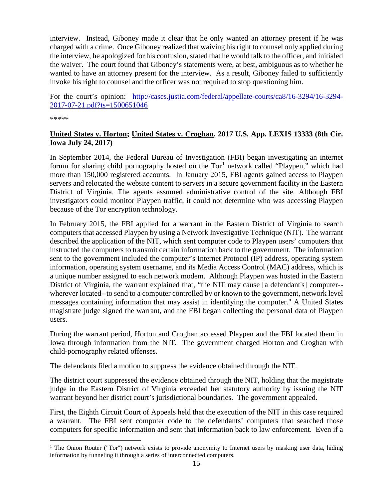interview. Instead, Giboney made it clear that he only wanted an attorney present if he was charged with a crime. Once Giboney realized that waiving his right to counsel only applied during the interview, he apologized for his confusion, stated that he would talk to the officer, and initialed the waiver. The court found that Giboney's statements were, at best, ambiguous as to whether he wanted to have an attorney present for the interview. As a result, Giboney failed to sufficiently invoke his right to counsel and the officer was not required to stop questioning him.

For the court's opinion: [http://cases.justia.com/federal/appellate-courts/ca8/16-3294/16-3294-](http://cases.justia.com/federal/appellate-courts/ca8/16-3294/16-3294-2017-07-21.pdf?ts=1500651046) [2017-07-21.pdf?ts=1500651046](http://cases.justia.com/federal/appellate-courts/ca8/16-3294/16-3294-2017-07-21.pdf?ts=1500651046)

\*\*\*\*\*

#### <span id="page-14-0"></span>**United States v. Horton; United States v. Croghan, 2017 U.S. App. LEXIS 13333 (8th Cir. Iowa July 24, 2017)**

In September 2014, the Federal Bureau of Investigation (FBI) began investigating an internet forum for sharing child pornography hosted on the  $Tor<sup>1</sup>$  $Tor<sup>1</sup>$  $Tor<sup>1</sup>$  network called "Playpen," which had more than 150,000 registered accounts. In January 2015, FBI agents gained access to Playpen servers and relocated the website content to servers in a secure government facility in the Eastern District of Virginia. The agents assumed administrative control of the site. Although FBI investigators could monitor Playpen traffic, it could not determine who was accessing Playpen because of the Tor encryption technology.

In February 2015, the FBI applied for a warrant in the Eastern District of Virginia to search computers that accessed Playpen by using a Network Investigative Technique (NIT). The warrant described the application of the NIT, which sent computer code to Playpen users' computers that instructed the computers to transmit certain information back to the government. The information sent to the government included the computer's Internet Protocol (IP) address, operating system information, operating system username, and its Media Access Control (MAC) address, which is a unique number assigned to each network modem. Although Playpen was hosted in the Eastern District of Virginia, the warrant explained that, "the NIT may cause [a defendant's] computer- wherever located--to send to a computer controlled by or known to the government, network level messages containing information that may assist in identifying the computer." A United States magistrate judge signed the warrant, and the FBI began collecting the personal data of Playpen users.

During the warrant period, Horton and Croghan accessed Playpen and the FBI located them in Iowa through information from the NIT. The government charged Horton and Croghan with child-pornography related offenses.

The defendants filed a motion to suppress the evidence obtained through the NIT.

The district court suppressed the evidence obtained through the NIT, holding that the magistrate judge in the Eastern District of Virginia exceeded her statutory authority by issuing the NIT warrant beyond her district court's jurisdictional boundaries. The government appealed.

First, the Eighth Circuit Court of Appeals held that the execution of the NIT in this case required a warrant. The FBI sent computer code to the defendants' computers that searched those computers for specific information and sent that information back to law enforcement. Even if a

<span id="page-14-1"></span><sup>&</sup>lt;sup>1</sup> The Onion Router ("Tor") network exists to provide anonymity to Internet users by masking user data, hiding information by funneling it through a series of interconnected computers.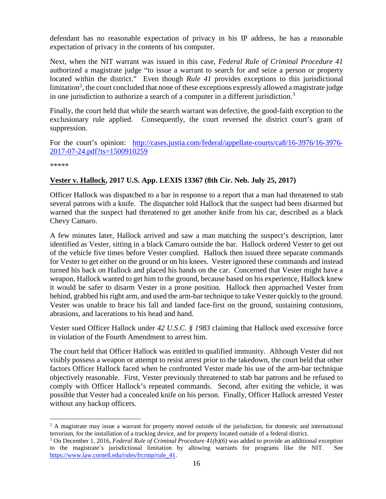defendant has no reasonable expectation of privacy in his IP address, he has a reasonable expectation of privacy in the contents of his computer.

Next, when the NIT warrant was issued in this case, *Federal Rule of Criminal Procedure 41* authorized a magistrate judge "to issue a warrant to search for and seize a person or property located within the district." Even though *Rule 41* provides exceptions to this jurisdictional limitation<sup>[2](#page-15-1)</sup>, the court concluded that none of these exceptions expressly allowed a magistrate judge in one jurisdiction to authorize a search of a computer in a different jurisdiction.<sup>[3](#page-15-2)</sup>

Finally, the court held that while the search warrant was defective, the good-faith exception to the exclusionary rule applied. Consequently, the court reversed the district court's grant of suppression.

For the court's opinion: [http://cases.justia.com/federal/appellate-courts/ca8/16-3976/16-3976-](http://cases.justia.com/federal/appellate-courts/ca8/16-3976/16-3976-2017-07-24.pdf?ts=1500910259) [2017-07-24.pdf?ts=1500910259](http://cases.justia.com/federal/appellate-courts/ca8/16-3976/16-3976-2017-07-24.pdf?ts=1500910259)

\*\*\*\*\*

#### <span id="page-15-0"></span>**Vester v. Hallock, 2017 U.S. App. LEXIS 13367 (8th Cir. Neb. July 25, 2017)**

Officer Hallock was dispatched to a bar in response to a report that a man had threatened to stab several patrons with a knife. The dispatcher told Hallock that the suspect had been disarmed but warned that the suspect had threatened to get another knife from his car, described as a black Chevy Camaro.

A few minutes later, Hallock arrived and saw a man matching the suspect's description, later identified as Vester, sitting in a black Camaro outside the bar. Hallock ordered Vester to get out of the vehicle five times before Vester complied. Hallock then issued three separate commands for Vester to get either on the ground or on his knees. Vester ignored these commands and instead turned his back on Hallock and placed his hands on the car. Concerned that Vester might have a weapon, Hallock wanted to get him to the ground, because based on his experience, Hallock knew it would be safer to disarm Vester in a prone position. Hallock then approached Vester from behind, grabbed his right arm, and used the arm-bar technique to take Vester quickly to the ground. Vester was unable to brace his fall and landed face-first on the ground, sustaining contusions, abrasions, and lacerations to his head and hand.

Vester sued Officer Hallock under *42 U.S.C. § 1983* claiming that Hallock used excessive force in violation of the Fourth Amendment to arrest him.

The court held that Officer Hallock was entitled to qualified immunity. Although Vester did not visibly possess a weapon or attempt to resist arrest prior to the takedown, the court held that other factors Officer Hallock faced when he confronted Vester made his use of the arm-bar technique objectively reasonable. First, Vester previously threatened to stab bar patrons and he refused to comply with Officer Hallock's repeated commands. Second, after exiting the vehicle, it was possible that Vester had a concealed knife on his person. Finally, Officer Hallock arrested Vester without any backup officers.

<span id="page-15-1"></span><sup>&</sup>lt;sup>2</sup> A magistrate may issue a warrant for property moved outside of the jurisdiction, for domestic and international terrorism, for the installation of a tracking device, and for property located outside of a federal district.<br><sup>3</sup> On December 1, 2016, *Federal Rule of Criminal Procedure 41(b)(6)* was added to provide an additional excep

<span id="page-15-2"></span>to the magistrate's jurisdictional limitation by allowing warrants for programs like the NIT. See [https://www.law.cornell.edu/rules/frcrmp/rule\\_41.](https://www.law.cornell.edu/rules/frcrmp/rule_41)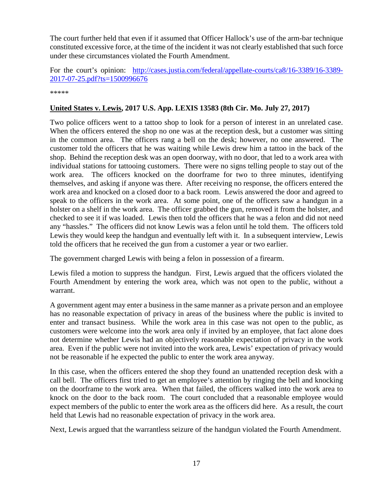The court further held that even if it assumed that Officer Hallock's use of the arm-bar technique constituted excessive force, at the time of the incident it was not clearly established that such force under these circumstances violated the Fourth Amendment.

For the court's opinion: [http://cases.justia.com/federal/appellate-courts/ca8/16-3389/16-3389-](http://cases.justia.com/federal/appellate-courts/ca8/16-3389/16-3389-2017-07-25.pdf?ts=1500996676) [2017-07-25.pdf?ts=1500996676](http://cases.justia.com/federal/appellate-courts/ca8/16-3389/16-3389-2017-07-25.pdf?ts=1500996676)

\*\*\*\*\*

#### <span id="page-16-0"></span>**United States v. Lewis, 2017 U.S. App. LEXIS 13583 (8th Cir. Mo. July 27, 2017)**

Two police officers went to a tattoo shop to look for a person of interest in an unrelated case. When the officers entered the shop no one was at the reception desk, but a customer was sitting in the common area. The officers rang a bell on the desk; however, no one answered. The customer told the officers that he was waiting while Lewis drew him a tattoo in the back of the shop. Behind the reception desk was an open doorway, with no door, that led to a work area with individual stations for tattooing customers. There were no signs telling people to stay out of the work area. The officers knocked on the doorframe for two to three minutes, identifying themselves, and asking if anyone was there. After receiving no response, the officers entered the work area and knocked on a closed door to a back room. Lewis answered the door and agreed to speak to the officers in the work area. At some point, one of the officers saw a handgun in a holster on a shelf in the work area. The officer grabbed the gun, removed it from the holster, and checked to see it if was loaded. Lewis then told the officers that he was a felon and did not need any "hassles." The officers did not know Lewis was a felon until he told them. The officers told Lewis they would keep the handgun and eventually left with it. In a subsequent interview, Lewis told the officers that he received the gun from a customer a year or two earlier.

The government charged Lewis with being a felon in possession of a firearm.

Lewis filed a motion to suppress the handgun. First, Lewis argued that the officers violated the Fourth Amendment by entering the work area, which was not open to the public, without a warrant.

A government agent may enter a business in the same manner as a private person and an employee has no reasonable expectation of privacy in areas of the business where the public is invited to enter and transact business. While the work area in this case was not open to the public, as customers were welcome into the work area only if invited by an employee, that fact alone does not determine whether Lewis had an objectively reasonable expectation of privacy in the work area. Even if the public were not invited into the work area, Lewis' expectation of privacy would not be reasonable if he expected the public to enter the work area anyway.

In this case, when the officers entered the shop they found an unattended reception desk with a call bell. The officers first tried to get an employee's attention by ringing the bell and knocking on the doorframe to the work area. When that failed, the officers walked into the work area to knock on the door to the back room. The court concluded that a reasonable employee would expect members of the public to enter the work area as the officers did here. As a result, the court held that Lewis had no reasonable expectation of privacy in the work area.

Next, Lewis argued that the warrantless seizure of the handgun violated the Fourth Amendment.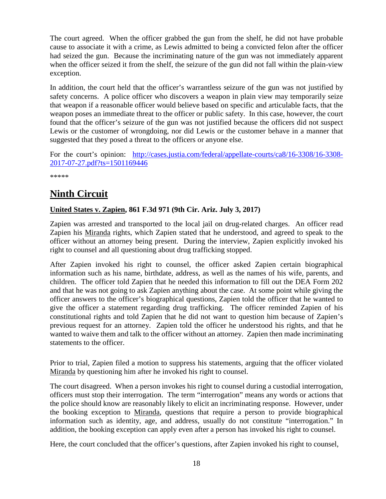The court agreed. When the officer grabbed the gun from the shelf, he did not have probable cause to associate it with a crime, as Lewis admitted to being a convicted felon after the officer had seized the gun. Because the incriminating nature of the gun was not immediately apparent when the officer seized it from the shelf, the seizure of the gun did not fall within the plain-view exception.

In addition, the court held that the officer's warrantless seizure of the gun was not justified by safety concerns. A police officer who discovers a weapon in plain view may temporarily seize that weapon if a reasonable officer would believe based on specific and articulable facts, that the weapon poses an immediate threat to the officer or public safety. In this case, however, the court found that the officer's seizure of the gun was not justified because the officers did not suspect Lewis or the customer of wrongdoing, nor did Lewis or the customer behave in a manner that suggested that they posed a threat to the officers or anyone else.

For the court's opinion: [http://cases.justia.com/federal/appellate-courts/ca8/16-3308/16-3308-](http://cases.justia.com/federal/appellate-courts/ca8/16-3308/16-3308-2017-07-27.pdf?ts=1501169446) [2017-07-27.pdf?ts=1501169446](http://cases.justia.com/federal/appellate-courts/ca8/16-3308/16-3308-2017-07-27.pdf?ts=1501169446)

\*\*\*\*\*

# <span id="page-17-0"></span>**Ninth Circuit**

#### <span id="page-17-1"></span>**United States v. Zapien, 861 F.3d 971 (9th Cir. Ariz. July 3, 2017)**

Zapien was arrested and transported to the local jail on drug-related charges. An officer read Zapien his Miranda rights, which Zapien stated that he understood, and agreed to speak to the officer without an attorney being present. During the interview, Zapien explicitly invoked his right to counsel and all questioning about drug trafficking stopped.

After Zapien invoked his right to counsel, the officer asked Zapien certain biographical information such as his name, birthdate, address, as well as the names of his wife, parents, and children. The officer told Zapien that he needed this information to fill out the DEA Form 202 and that he was not going to ask Zapien anything about the case. At some point while giving the officer answers to the officer's biographical questions, Zapien told the officer that he wanted to give the officer a statement regarding drug trafficking. The officer reminded Zapien of his constitutional rights and told Zapien that he did not want to question him because of Zapien's previous request for an attorney. Zapien told the officer he understood his rights, and that he wanted to waive them and talk to the officer without an attorney. Zapien then made incriminating statements to the officer.

Prior to trial, Zapien filed a motion to suppress his statements, arguing that the officer violated Miranda by questioning him after he invoked his right to counsel.

The court disagreed. When a person invokes his right to counsel during a custodial interrogation, officers must stop their interrogation. The term "interrogation" means any words or actions that the police should know are reasonably likely to elicit an incriminating response. However, under the booking exception to Miranda, questions that require a person to provide biographical information such as identity, age, and address, usually do not constitute "interrogation." In addition, the booking exception can apply even after a person has invoked his right to counsel.

Here, the court concluded that the officer's questions, after Zapien invoked his right to counsel,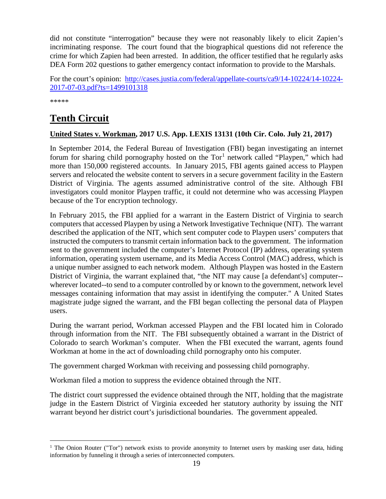did not constitute "interrogation" because they were not reasonably likely to elicit Zapien's incriminating response. The court found that the biographical questions did not reference the crime for which Zapien had been arrested. In addition, the officer testified that he regularly asks DEA Form 202 questions to gather emergency contact information to provide to the Marshals.

For the court's opinion: [http://cases.justia.com/federal/appellate-courts/ca9/14-10224/14-10224-](http://cases.justia.com/federal/appellate-courts/ca9/14-10224/14-10224-2017-07-03.pdf?ts=1499101318) [2017-07-03.pdf?ts=1499101318](http://cases.justia.com/federal/appellate-courts/ca9/14-10224/14-10224-2017-07-03.pdf?ts=1499101318)

\*\*\*\*\*

# <span id="page-18-0"></span>**Tenth Circuit**

#### <span id="page-18-1"></span>**United States v. Workman, 2017 U.S. App. LEXIS 13131 (10th Cir. Colo. July 21, 2017)**

In September 2014, the Federal Bureau of Investigation (FBI) began investigating an internet forum for sharing child pornography hosted on the  $Tor<sup>1</sup>$  $Tor<sup>1</sup>$  $Tor<sup>1</sup>$  network called "Playpen," which had more than 150,000 registered accounts. In January 2015, FBI agents gained access to Playpen servers and relocated the website content to servers in a secure government facility in the Eastern District of Virginia. The agents assumed administrative control of the site. Although FBI investigators could monitor Playpen traffic, it could not determine who was accessing Playpen because of the Tor encryption technology.

In February 2015, the FBI applied for a warrant in the Eastern District of Virginia to search computers that accessed Playpen by using a Network Investigative Technique (NIT). The warrant described the application of the NIT, which sent computer code to Playpen users' computers that instructed the computers to transmit certain information back to the government. The information sent to the government included the computer's Internet Protocol (IP) address, operating system information, operating system username, and its Media Access Control (MAC) address, which is a unique number assigned to each network modem. Although Playpen was hosted in the Eastern District of Virginia, the warrant explained that, "the NIT may cause [a defendant's] computer- wherever located--to send to a computer controlled by or known to the government, network level messages containing information that may assist in identifying the computer." A United States magistrate judge signed the warrant, and the FBI began collecting the personal data of Playpen users.

During the warrant period, Workman accessed Playpen and the FBI located him in Colorado through information from the NIT. The FBI subsequently obtained a warrant in the District of Colorado to search Workman's computer. When the FBI executed the warrant, agents found Workman at home in the act of downloading child pornography onto his computer.

The government charged Workman with receiving and possessing child pornography.

Workman filed a motion to suppress the evidence obtained through the NIT.

The district court suppressed the evidence obtained through the NIT, holding that the magistrate judge in the Eastern District of Virginia exceeded her statutory authority by issuing the NIT warrant beyond her district court's jurisdictional boundaries. The government appealed.

<span id="page-18-2"></span><sup>&</sup>lt;sup>1</sup> The Onion Router ("Tor") network exists to provide anonymity to Internet users by masking user data, hiding information by funneling it through a series of interconnected computers.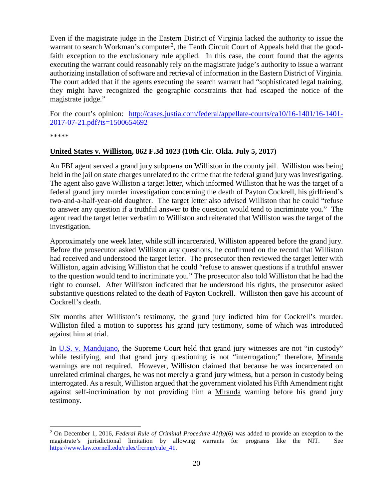Even if the magistrate judge in the Eastern District of Virginia lacked the authority to issue the warrant to search Workman's computer<sup>[2](#page-19-1)</sup>, the Tenth Circuit Court of Appeals held that the goodfaith exception to the exclusionary rule applied. In this case, the court found that the agents executing the warrant could reasonably rely on the magistrate judge's authority to issue a warrant authorizing installation of software and retrieval of information in the Eastern District of Virginia. The court added that if the agents executing the search warrant had "sophisticated legal training, they might have recognized the geographic constraints that had escaped the notice of the magistrate judge."

For the court's opinion: [http://cases.justia.com/federal/appellate-courts/ca10/16-1401/16-1401-](http://cases.justia.com/federal/appellate-courts/ca10/16-1401/16-1401-2017-07-21.pdf?ts=1500654692) [2017-07-21.pdf?ts=1500654692](http://cases.justia.com/federal/appellate-courts/ca10/16-1401/16-1401-2017-07-21.pdf?ts=1500654692)

\*\*\*\*\*

#### <span id="page-19-0"></span>**United States v. Williston, 862 F.3d 1023 (10th Cir. Okla. July 5, 2017)**

An FBI agent served a grand jury subpoena on Williston in the county jail. Williston was being held in the jail on state charges unrelated to the crime that the federal grand jury was investigating. The agent also gave Williston a target letter, which informed Williston that he was the target of a federal grand jury murder investigation concerning the death of Payton Cockrell, his girlfriend's two-and-a-half-year-old daughter. The target letter also advised Williston that he could "refuse to answer any question if a truthful answer to the question would tend to incriminate you." The agent read the target letter verbatim to Williston and reiterated that Williston was the target of the investigation.

Approximately one week later, while still incarcerated, Williston appeared before the grand jury. Before the prosecutor asked Williston any questions, he confirmed on the record that Williston had received and understood the target letter. The prosecutor then reviewed the target letter with Williston, again advising Williston that he could "refuse to answer questions if a truthful answer to the question would tend to incriminate you." The prosecutor also told Williston that he had the right to counsel. After Williston indicated that he understood his rights, the prosecutor asked substantive questions related to the death of Payton Cockrell. Williston then gave his account of Cockrell's death.

Six months after Williston's testimony, the grand jury indicted him for Cockrell's murder. Williston filed a motion to suppress his grand jury testimony, some of which was introduced against him at trial.

In [U.S. v. Mandujano,](https://supreme.justia.com/cases/federal/us/425/564/case.html) the Supreme Court held that grand jury witnesses are not "in custody" while testifying, and that grand jury questioning is not "interrogation;" therefore, Miranda warnings are not required. However, Williston claimed that because he was incarcerated on unrelated criminal charges, he was not merely a grand jury witness, but a person in custody being interrogated. As a result, Williston argued that the government violated his Fifth Amendment right against self-incrimination by not providing him a Miranda warning before his grand jury testimony.

<span id="page-19-1"></span> <sup>2</sup> On December 1, 2016, *Federal Rule of Criminal Procedure 41(b)(6)* was added to provide an exception to the magistrate's jurisdictional limitation by allowing warrants for programs like the NIT. See [https://www.law.cornell.edu/rules/frcrmp/rule\\_41.](https://www.law.cornell.edu/rules/frcrmp/rule_41)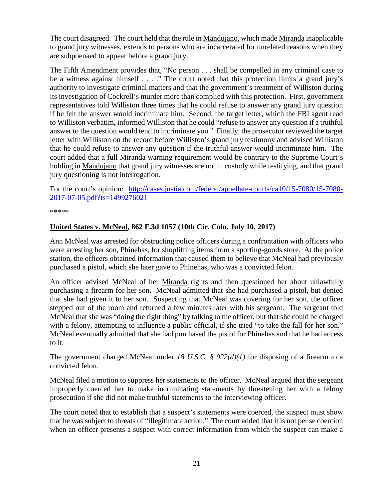The court disagreed. The court held that the rule in Mandujano, which made Miranda inapplicable to grand jury witnesses, extends to persons who are incarcerated for unrelated reasons when they are subpoenaed to appear before a grand jury.

The Fifth Amendment provides that, "No person . . . shall be compelled in any criminal case to be a witness against himself . . . ." The court noted that this protection limits a grand jury's authority to investigate criminal matters and that the government's treatment of Williston during its investigation of Cockrell's murder more than complied with this protection. First, government representatives told Williston three times that he could refuse to answer any grand jury question if he felt the answer would incriminate him. Second, the target letter, which the FBI agent read to Williston verbatim, informed Williston that he could "refuse to answer any question if a truthful answer to the question would tend to incriminate you." Finally, the prosecutor reviewed the target letter with Williston on the record before Williston's grand jury testimony and advised Williston that he could refuse to answer any question if the truthful answer would incriminate him. The court added that a full Miranda warning requirement would be contrary to the Supreme Court's holding in Mandujano that grand jury witnesses are not in custody while testifying, and that grand jury questioning is not interrogation.

For the court's opinion: [http://cases.justia.com/federal/appellate-courts/ca10/15-7080/15-7080-](http://cases.justia.com/federal/appellate-courts/ca10/15-7080/15-7080-2017-07-05.pdf?ts=1499276021) [2017-07-05.pdf?ts=1499276021](http://cases.justia.com/federal/appellate-courts/ca10/15-7080/15-7080-2017-07-05.pdf?ts=1499276021)

\*\*\*\*\*

#### <span id="page-20-0"></span>**United States v. McNeal, 862 F.3d 1057 (10th Cir. Colo. July 10, 2017)**

Ann McNeal was arrested for obstructing police officers during a confrontation with officers who were arresting her son, Phinehas, for shoplifting items from a sporting-goods store. At the police station, the officers obtained information that caused them to believe that McNeal had previously purchased a pistol, which she later gave to Phinehas, who was a convicted felon.

An officer advised McNeal of her Miranda rights and then questioned her about unlawfully purchasing a firearm for her son. McNeal admitted that she had purchased a pistol, but denied that she had given it to her son. Suspecting that McNeal was covering for her son, the officer stepped out of the room and returned a few minutes later with his sergeant. The sergeant told McNeal that she was "doing the right thing" by talking to the officer, but that she could be charged with a felony, attempting to influence a public official, if she tried "to take the fall for her son." McNeal eventually admitted that she had purchased the pistol for Phinehas and that he had access to it.

The government charged McNeal under *18 U.S.C. § 922(d)(1)* for disposing of a firearm to a convicted felon.

McNeal filed a motion to suppress her statements to the officer. McNeal argued that the sergeant improperly coerced her to make incriminating statements by threatening her with a felony prosecution if she did not make truthful statements to the interviewing officer.

The court noted that to establish that a suspect's statements were coerced, the suspect must show that he was subject to threats of "illegitimate action." The court added that it is not per se coercion when an officer presents a suspect with correct information from which the suspect can make a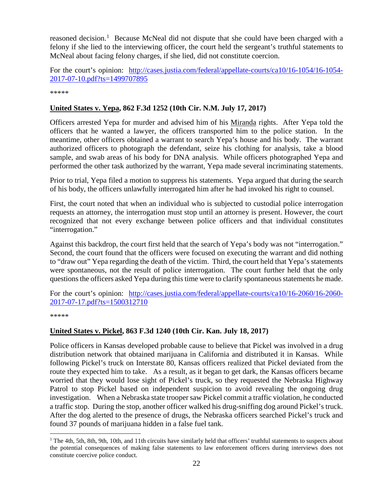reasoned decision.<sup>[1](#page-21-2)</sup> Because McNeal did not dispute that she could have been charged with a felony if she lied to the interviewing officer, the court held the sergeant's truthful statements to McNeal about facing felony charges, if she lied, did not constitute coercion.

For the court's opinion: [http://cases.justia.com/federal/appellate-courts/ca10/16-1054/16-1054-](http://cases.justia.com/federal/appellate-courts/ca10/16-1054/16-1054-2017-07-10.pdf?ts=1499707895) [2017-07-10.pdf?ts=1499707895](http://cases.justia.com/federal/appellate-courts/ca10/16-1054/16-1054-2017-07-10.pdf?ts=1499707895)

\*\*\*\*\*

#### <span id="page-21-0"></span>**United States v. Yepa, 862 F.3d 1252 (10th Cir. N.M. July 17, 2017)**

Officers arrested Yepa for murder and advised him of his Miranda rights. After Yepa told the officers that he wanted a lawyer, the officers transported him to the police station. In the meantime, other officers obtained a warrant to search Yepa's house and his body. The warrant authorized officers to photograph the defendant, seize his clothing for analysis, take a blood sample, and swab areas of his body for DNA analysis. While officers photographed Yepa and performed the other task authorized by the warrant, Yepa made several incriminating statements.

Prior to trial, Yepa filed a motion to suppress his statements. Yepa argued that during the search of his body, the officers unlawfully interrogated him after he had invoked his right to counsel.

First, the court noted that when an individual who is subjected to custodial police interrogation requests an attorney, the interrogation must stop until an attorney is present. However, the court recognized that not every exchange between police officers and that individual constitutes "interrogation."

Against this backdrop, the court first held that the search of Yepa's body was not "interrogation." Second, the court found that the officers were focused on executing the warrant and did nothing to "draw out" Yepa regarding the death of the victim. Third, the court held that Yepa's statements were spontaneous, not the result of police interrogation. The court further held that the only questions the officers asked Yepa during this time were to clarify spontaneous statements he made.

For the court's opinion: [http://cases.justia.com/federal/appellate-courts/ca10/16-2060/16-2060-](http://cases.justia.com/federal/appellate-courts/ca10/16-2060/16-2060-2017-07-17.pdf?ts=1500312710) [2017-07-17.pdf?ts=1500312710](http://cases.justia.com/federal/appellate-courts/ca10/16-2060/16-2060-2017-07-17.pdf?ts=1500312710)

\*\*\*\*\*

#### <span id="page-21-1"></span>**United States v. Pickel, 863 F.3d 1240 (10th Cir. Kan. July 18, 2017)**

Police officers in Kansas developed probable cause to believe that Pickel was involved in a drug distribution network that obtained marijuana in California and distributed it in Kansas. While following Pickel's truck on Interstate 80, Kansas officers realized that Pickel deviated from the route they expected him to take. As a result, as it began to get dark, the Kansas officers became worried that they would lose sight of Pickel's truck, so they requested the Nebraska Highway Patrol to stop Pickel based on independent suspicion to avoid revealing the ongoing drug investigation. When a Nebraska state trooper saw Pickel commit a traffic violation, he conducted a traffic stop. During the stop, another officer walked his drug-sniffing dog around Pickel's truck. After the dog alerted to the presence of drugs, the Nebraska officers searched Pickel's truck and found 37 pounds of marijuana hidden in a false fuel tank.

<span id="page-21-2"></span> $1$  The 4th, 5th, 8th, 9th, 10th, and 11th circuits have similarly held that officers' truthful statements to suspects about the potential consequences of making false statements to law enforcement officers during interviews does not constitute coercive police conduct.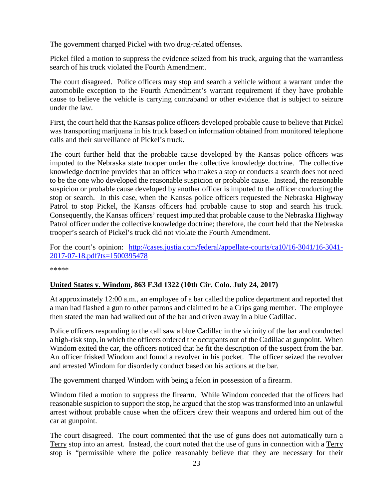The government charged Pickel with two drug-related offenses.

Pickel filed a motion to suppress the evidence seized from his truck, arguing that the warrantless search of his truck violated the Fourth Amendment.

The court disagreed. Police officers may stop and search a vehicle without a warrant under the automobile exception to the Fourth Amendment's warrant requirement if they have probable cause to believe the vehicle is carrying contraband or other evidence that is subject to seizure under the law.

First, the court held that the Kansas police officers developed probable cause to believe that Pickel was transporting marijuana in his truck based on information obtained from monitored telephone calls and their surveillance of Pickel's truck.

The court further held that the probable cause developed by the Kansas police officers was imputed to the Nebraska state trooper under the collective knowledge doctrine. The collective knowledge doctrine provides that an officer who makes a stop or conducts a search does not need to be the one who developed the reasonable suspicion or probable cause. Instead, the reasonable suspicion or probable cause developed by another officer is imputed to the officer conducting the stop or search. In this case, when the Kansas police officers requested the Nebraska Highway Patrol to stop Pickel, the Kansas officers had probable cause to stop and search his truck. Consequently, the Kansas officers' request imputed that probable cause to the Nebraska Highway Patrol officer under the collective knowledge doctrine; therefore, the court held that the Nebraska trooper's search of Pickel's truck did not violate the Fourth Amendment.

For the court's opinion: [http://cases.justia.com/federal/appellate-courts/ca10/16-3041/16-3041-](http://cases.justia.com/federal/appellate-courts/ca10/16-3041/16-3041-2017-07-18.pdf?ts=1500395478) [2017-07-18.pdf?ts=1500395478](http://cases.justia.com/federal/appellate-courts/ca10/16-3041/16-3041-2017-07-18.pdf?ts=1500395478)

\*\*\*\*\*

#### <span id="page-22-0"></span>**United States v. Windom, 863 F.3d 1322 (10th Cir. Colo. July 24, 2017)**

At approximately 12:00 a.m., an employee of a bar called the police department and reported that a man had flashed a gun to other patrons and claimed to be a Crips gang member. The employee then stated the man had walked out of the bar and driven away in a blue Cadillac.

Police officers responding to the call saw a blue Cadillac in the vicinity of the bar and conducted a high-risk stop, in which the officers ordered the occupants out of the Cadillac at gunpoint. When Windom exited the car, the officers noticed that he fit the description of the suspect from the bar. An officer frisked Windom and found a revolver in his pocket. The officer seized the revolver and arrested Windom for disorderly conduct based on his actions at the bar.

The government charged Windom with being a felon in possession of a firearm.

Windom filed a motion to suppress the firearm. While Windom conceded that the officers had reasonable suspicion to support the stop, he argued that the stop was transformed into an unlawful arrest without probable cause when the officers drew their weapons and ordered him out of the car at gunpoint.

The court disagreed. The court commented that the use of guns does not automatically turn a Terry stop into an arrest. Instead, the court noted that the use of guns in connection with a Terry stop is "permissible where the police reasonably believe that they are necessary for their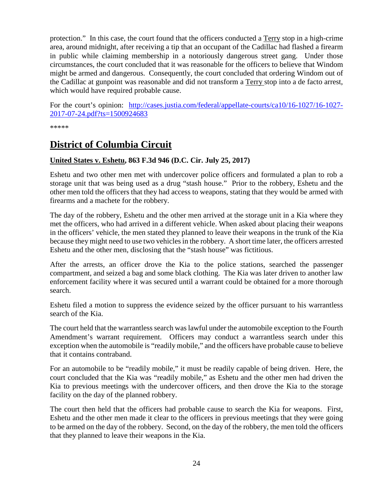protection." In this case, the court found that the officers conducted a Terry stop in a high-crime area, around midnight, after receiving a tip that an occupant of the Cadillac had flashed a firearm in public while claiming membership in a notoriously dangerous street gang. Under those circumstances, the court concluded that it was reasonable for the officers to believe that Windom might be armed and dangerous. Consequently, the court concluded that ordering Windom out of the Cadillac at gunpoint was reasonable and did not transform a Terry stop into a de facto arrest, which would have required probable cause.

For the court's opinion: [http://cases.justia.com/federal/appellate-courts/ca10/16-1027/16-1027-](http://cases.justia.com/federal/appellate-courts/ca10/16-1027/16-1027-2017-07-24.pdf?ts=1500924683) [2017-07-24.pdf?ts=1500924683](http://cases.justia.com/federal/appellate-courts/ca10/16-1027/16-1027-2017-07-24.pdf?ts=1500924683)

\*\*\*\*\*

# <span id="page-23-0"></span>**District of Columbia Circuit**

#### <span id="page-23-1"></span>**United States v. Eshetu, 863 F.3d 946 (D.C. Cir. July 25, 2017)**

Eshetu and two other men met with undercover police officers and formulated a plan to rob a storage unit that was being used as a drug "stash house." Prior to the robbery, Eshetu and the other men told the officers that they had access to weapons, stating that they would be armed with firearms and a machete for the robbery.

The day of the robbery, Eshetu and the other men arrived at the storage unit in a Kia where they met the officers, who had arrived in a different vehicle. When asked about placing their weapons in the officers' vehicle, the men stated they planned to leave their weapons in the trunk of the Kia because they might need to use two vehicles in the robbery. A short time later, the officers arrested Eshetu and the other men, disclosing that the "stash house" was fictitious.

After the arrests, an officer drove the Kia to the police stations, searched the passenger compartment, and seized a bag and some black clothing. The Kia was later driven to another law enforcement facility where it was secured until a warrant could be obtained for a more thorough search.

Eshetu filed a motion to suppress the evidence seized by the officer pursuant to his warrantless search of the Kia.

The court held that the warrantless search was lawful under the automobile exception to the Fourth Amendment's warrant requirement. Officers may conduct a warrantless search under this exception when the automobile is "readily mobile," and the officers have probable cause to believe that it contains contraband.

For an automobile to be "readily mobile," it must be readily capable of being driven. Here, the court concluded that the Kia was "readily mobile," as Eshetu and the other men had driven the Kia to previous meetings with the undercover officers, and then drove the Kia to the storage facility on the day of the planned robbery.

The court then held that the officers had probable cause to search the Kia for weapons. First, Eshetu and the other men made it clear to the officers in previous meetings that they were going to be armed on the day of the robbery. Second, on the day of the robbery, the men told the officers that they planned to leave their weapons in the Kia.